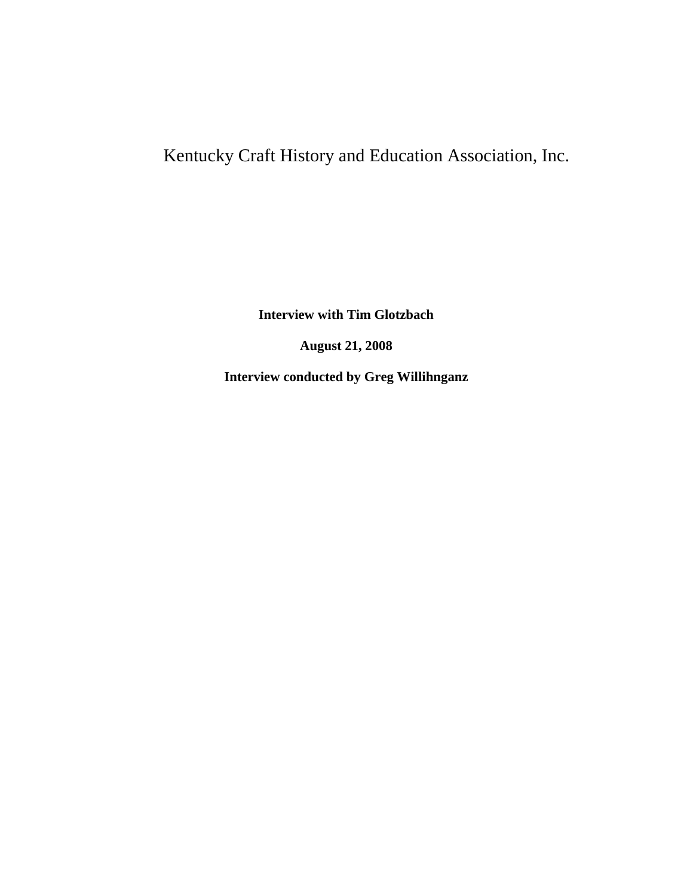## Kentucky Craft History and Education Association, Inc.

**Interview with Tim Glotzbach**

**August 21, 2008**

**Interview conducted by Greg Willihnganz**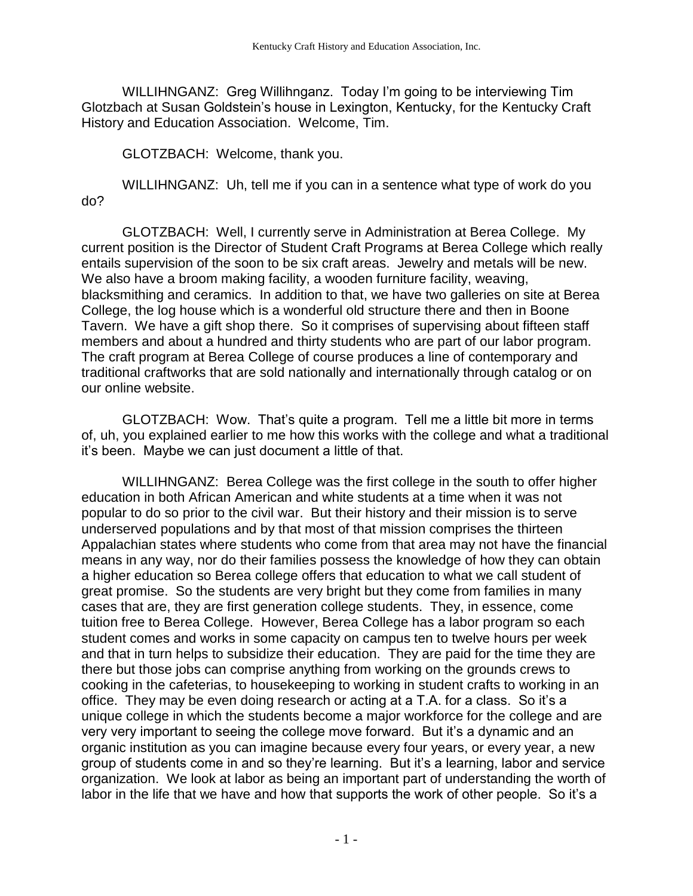WILLIHNGANZ: Greg Willihnganz. Today I'm going to be interviewing Tim Glotzbach at Susan Goldstein's house in Lexington, Kentucky, for the Kentucky Craft History and Education Association. Welcome, Tim.

GLOTZBACH: Welcome, thank you.

WILLIHNGANZ: Uh, tell me if you can in a sentence what type of work do you do?

GLOTZBACH: Well, I currently serve in Administration at Berea College. My current position is the Director of Student Craft Programs at Berea College which really entails supervision of the soon to be six craft areas. Jewelry and metals will be new. We also have a broom making facility, a wooden furniture facility, weaving, blacksmithing and ceramics. In addition to that, we have two galleries on site at Berea College, the log house which is a wonderful old structure there and then in Boone Tavern. We have a gift shop there. So it comprises of supervising about fifteen staff members and about a hundred and thirty students who are part of our labor program. The craft program at Berea College of course produces a line of contemporary and traditional craftworks that are sold nationally and internationally through catalog or on our online website.

GLOTZBACH: Wow. That's quite a program. Tell me a little bit more in terms of, uh, you explained earlier to me how this works with the college and what a traditional it's been. Maybe we can just document a little of that.

WILLIHNGANZ: Berea College was the first college in the south to offer higher education in both African American and white students at a time when it was not popular to do so prior to the civil war. But their history and their mission is to serve underserved populations and by that most of that mission comprises the thirteen Appalachian states where students who come from that area may not have the financial means in any way, nor do their families possess the knowledge of how they can obtain a higher education so Berea college offers that education to what we call student of great promise. So the students are very bright but they come from families in many cases that are, they are first generation college students. They, in essence, come tuition free to Berea College. However, Berea College has a labor program so each student comes and works in some capacity on campus ten to twelve hours per week and that in turn helps to subsidize their education. They are paid for the time they are there but those jobs can comprise anything from working on the grounds crews to cooking in the cafeterias, to housekeeping to working in student crafts to working in an office. They may be even doing research or acting at a T.A. for a class. So it's a unique college in which the students become a major workforce for the college and are very very important to seeing the college move forward. But it's a dynamic and an organic institution as you can imagine because every four years, or every year, a new group of students come in and so they're learning. But it's a learning, labor and service organization. We look at labor as being an important part of understanding the worth of labor in the life that we have and how that supports the work of other people. So it's a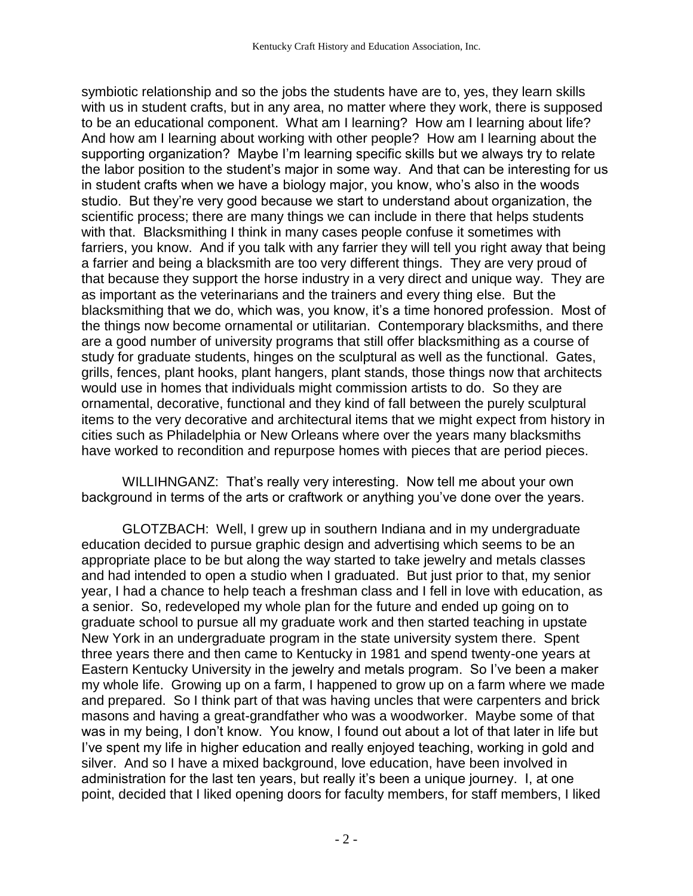symbiotic relationship and so the jobs the students have are to, yes, they learn skills with us in student crafts, but in any area, no matter where they work, there is supposed to be an educational component. What am I learning? How am I learning about life? And how am I learning about working with other people? How am I learning about the supporting organization? Maybe I'm learning specific skills but we always try to relate the labor position to the student's major in some way. And that can be interesting for us in student crafts when we have a biology major, you know, who's also in the woods studio. But they're very good because we start to understand about organization, the scientific process; there are many things we can include in there that helps students with that. Blacksmithing I think in many cases people confuse it sometimes with farriers, you know. And if you talk with any farrier they will tell you right away that being a farrier and being a blacksmith are too very different things. They are very proud of that because they support the horse industry in a very direct and unique way. They are as important as the veterinarians and the trainers and every thing else. But the blacksmithing that we do, which was, you know, it's a time honored profession. Most of the things now become ornamental or utilitarian. Contemporary blacksmiths, and there are a good number of university programs that still offer blacksmithing as a course of study for graduate students, hinges on the sculptural as well as the functional. Gates, grills, fences, plant hooks, plant hangers, plant stands, those things now that architects would use in homes that individuals might commission artists to do. So they are ornamental, decorative, functional and they kind of fall between the purely sculptural items to the very decorative and architectural items that we might expect from history in cities such as Philadelphia or New Orleans where over the years many blacksmiths have worked to recondition and repurpose homes with pieces that are period pieces.

WILLIHNGANZ: That's really very interesting. Now tell me about your own background in terms of the arts or craftwork or anything you've done over the years.

GLOTZBACH: Well, I grew up in southern Indiana and in my undergraduate education decided to pursue graphic design and advertising which seems to be an appropriate place to be but along the way started to take jewelry and metals classes and had intended to open a studio when I graduated. But just prior to that, my senior year, I had a chance to help teach a freshman class and I fell in love with education, as a senior. So, redeveloped my whole plan for the future and ended up going on to graduate school to pursue all my graduate work and then started teaching in upstate New York in an undergraduate program in the state university system there. Spent three years there and then came to Kentucky in 1981 and spend twenty-one years at Eastern Kentucky University in the jewelry and metals program. So I've been a maker my whole life. Growing up on a farm, I happened to grow up on a farm where we made and prepared. So I think part of that was having uncles that were carpenters and brick masons and having a great-grandfather who was a woodworker. Maybe some of that was in my being, I don't know. You know, I found out about a lot of that later in life but I've spent my life in higher education and really enjoyed teaching, working in gold and silver. And so I have a mixed background, love education, have been involved in administration for the last ten years, but really it's been a unique journey. I, at one point, decided that I liked opening doors for faculty members, for staff members, I liked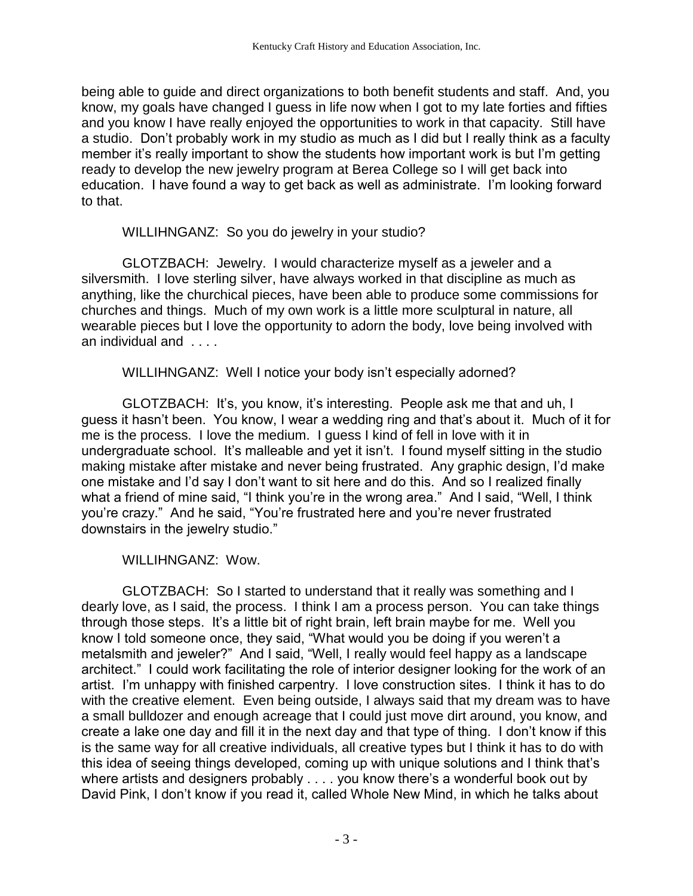being able to guide and direct organizations to both benefit students and staff. And, you know, my goals have changed I guess in life now when I got to my late forties and fifties and you know I have really enjoyed the opportunities to work in that capacity. Still have a studio. Don't probably work in my studio as much as I did but I really think as a faculty member it's really important to show the students how important work is but I'm getting ready to develop the new jewelry program at Berea College so I will get back into education. I have found a way to get back as well as administrate. I'm looking forward to that.

WILLIHNGANZ: So you do jewelry in your studio?

GLOTZBACH: Jewelry. I would characterize myself as a jeweler and a silversmith. I love sterling silver, have always worked in that discipline as much as anything, like the churchical pieces, have been able to produce some commissions for churches and things. Much of my own work is a little more sculptural in nature, all wearable pieces but I love the opportunity to adorn the body, love being involved with an individual and . . . .

WILLIHNGANZ: Well I notice your body isn't especially adorned?

GLOTZBACH: It's, you know, it's interesting. People ask me that and uh, I guess it hasn't been. You know, I wear a wedding ring and that's about it. Much of it for me is the process. I love the medium. I guess I kind of fell in love with it in undergraduate school. It's malleable and yet it isn't. I found myself sitting in the studio making mistake after mistake and never being frustrated. Any graphic design, I'd make one mistake and I'd say I don't want to sit here and do this. And so I realized finally what a friend of mine said, "I think you're in the wrong area." And I said, "Well, I think you're crazy." And he said, "You're frustrated here and you're never frustrated downstairs in the jewelry studio."

WILLIHNGANZ: Wow.

GLOTZBACH: So I started to understand that it really was something and I dearly love, as I said, the process. I think I am a process person. You can take things through those steps. It's a little bit of right brain, left brain maybe for me. Well you know I told someone once, they said, "What would you be doing if you weren't a metalsmith and jeweler?" And I said, "Well, I really would feel happy as a landscape architect." I could work facilitating the role of interior designer looking for the work of an artist. I'm unhappy with finished carpentry. I love construction sites. I think it has to do with the creative element. Even being outside, I always said that my dream was to have a small bulldozer and enough acreage that I could just move dirt around, you know, and create a lake one day and fill it in the next day and that type of thing. I don't know if this is the same way for all creative individuals, all creative types but I think it has to do with this idea of seeing things developed, coming up with unique solutions and I think that's where artists and designers probably . . . . you know there's a wonderful book out by David Pink, I don't know if you read it, called Whole New Mind, in which he talks about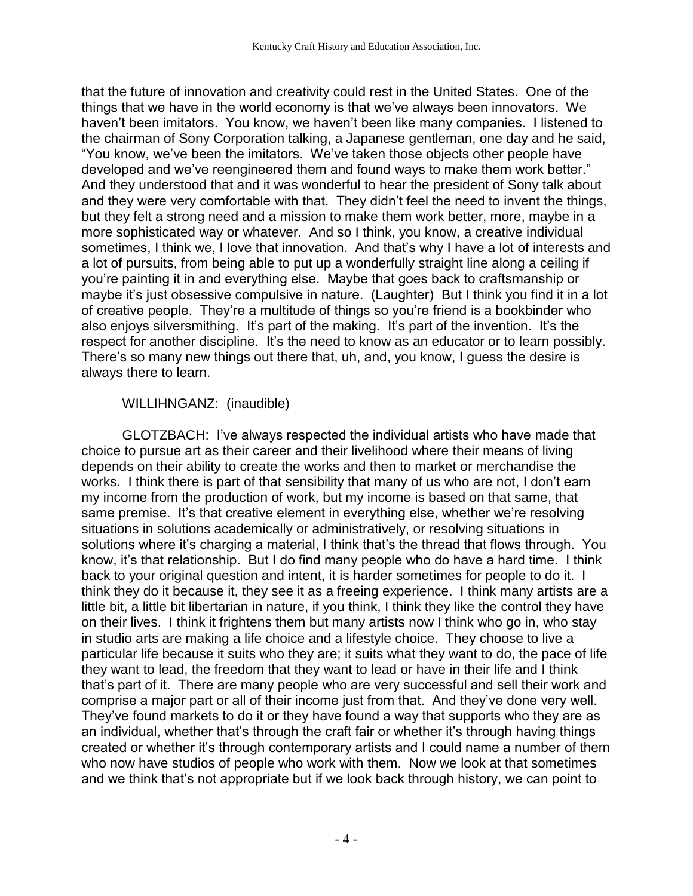that the future of innovation and creativity could rest in the United States. One of the things that we have in the world economy is that we've always been innovators. We haven't been imitators. You know, we haven't been like many companies. I listened to the chairman of Sony Corporation talking, a Japanese gentleman, one day and he said, "You know, we've been the imitators. We've taken those objects other people have developed and we've reengineered them and found ways to make them work better." And they understood that and it was wonderful to hear the president of Sony talk about and they were very comfortable with that. They didn't feel the need to invent the things, but they felt a strong need and a mission to make them work better, more, maybe in a more sophisticated way or whatever. And so I think, you know, a creative individual sometimes, I think we, I love that innovation. And that's why I have a lot of interests and a lot of pursuits, from being able to put up a wonderfully straight line along a ceiling if you're painting it in and everything else. Maybe that goes back to craftsmanship or maybe it's just obsessive compulsive in nature. (Laughter) But I think you find it in a lot of creative people. They're a multitude of things so you're friend is a bookbinder who also enjoys silversmithing. It's part of the making. It's part of the invention. It's the respect for another discipline. It's the need to know as an educator or to learn possibly. There's so many new things out there that, uh, and, you know, I guess the desire is always there to learn.

## WILLIHNGANZ: (inaudible)

GLOTZBACH: I've always respected the individual artists who have made that choice to pursue art as their career and their livelihood where their means of living depends on their ability to create the works and then to market or merchandise the works. I think there is part of that sensibility that many of us who are not, I don't earn my income from the production of work, but my income is based on that same, that same premise. It's that creative element in everything else, whether we're resolving situations in solutions academically or administratively, or resolving situations in solutions where it's charging a material, I think that's the thread that flows through. You know, it's that relationship. But I do find many people who do have a hard time. I think back to your original question and intent, it is harder sometimes for people to do it. I think they do it because it, they see it as a freeing experience. I think many artists are a little bit, a little bit libertarian in nature, if you think, I think they like the control they have on their lives. I think it frightens them but many artists now I think who go in, who stay in studio arts are making a life choice and a lifestyle choice. They choose to live a particular life because it suits who they are; it suits what they want to do, the pace of life they want to lead, the freedom that they want to lead or have in their life and I think that's part of it. There are many people who are very successful and sell their work and comprise a major part or all of their income just from that. And they've done very well. They've found markets to do it or they have found a way that supports who they are as an individual, whether that's through the craft fair or whether it's through having things created or whether it's through contemporary artists and I could name a number of them who now have studios of people who work with them. Now we look at that sometimes and we think that's not appropriate but if we look back through history, we can point to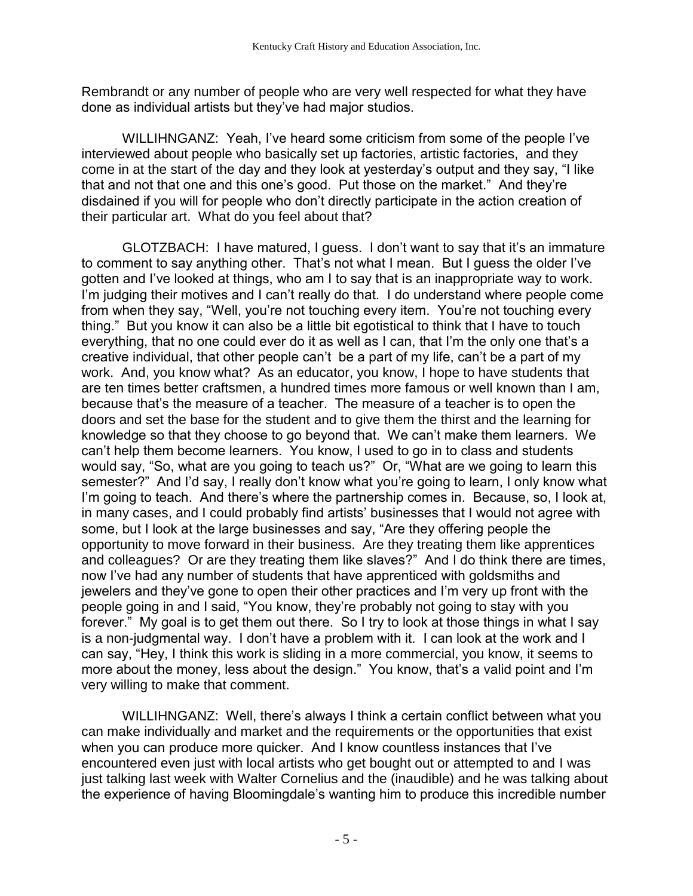Rembrandt or any number of people who are very well respected for what they have done as individual artists but they've had major studios.

WILLIHNGANZ: Yeah, I've heard some criticism from some of the people I've interviewed about people who basically set up factories, artistic factories, and they come in at the start of the day and they look at yesterday's output and they say, "I like that and not that one and this one's good. Put those on the market." And they're disdained if you will for people who don't directly participate in the action creation of their particular art. What do you feel about that?

GLOTZBACH: I have matured, I guess. I don't want to say that it's an immature to comment to say anything other. That's not what I mean. But I guess the older I've gotten and I've looked at things, who am I to say that is an inappropriate way to work. I'm judging their motives and I can't really do that. I do understand where people come from when they say, "Well, you're not touching every item. You're not touching every thing." But you know it can also be a little bit egotistical to think that I have to touch everything, that no one could ever do it as well as I can, that I'm the only one that's a creative individual, that other people can't be a part of my life, can't be a part of my work. And, you know what? As an educator, you know, I hope to have students that are ten times better craftsmen, a hundred times more famous or well known than I am, because that's the measure of a teacher. The measure of a teacher is to open the doors and set the base for the student and to give them the thirst and the learning for knowledge so that they choose to go beyond that. We can't make them learners. We can't help them become learners. You know, I used to go in to class and students would say, "So, what are you going to teach us?" Or, "What are we going to learn this semester?" And I'd say, I really don't know what you're going to learn, I only know what I'm going to teach. And there's where the partnership comes in. Because, so, I look at, in many cases, and I could probably find artists' businesses that I would not agree with some, but I look at the large businesses and say, "Are they offering people the opportunity to move forward in their business. Are they treating them like apprentices and colleagues? Or are they treating them like slaves?" And I do think there are times, now I've had any number of students that have apprenticed with goldsmiths and jewelers and they've gone to open their other practices and I'm very up front with the people going in and I said, "You know, they're probably not going to stay with you forever." My goal is to get them out there. So I try to look at those things in what I say is a non-judgmental way. I don't have a problem with it. I can look at the work and I can say, "Hey, I think this work is sliding in a more commercial, you know, it seems to more about the money, less about the design." You know, that's a valid point and I'm very willing to make that comment.

WILLIHNGANZ: Well, there's always I think a certain conflict between what you can make individually and market and the requirements or the opportunities that exist when you can produce more quicker. And I know countless instances that I've encountered even just with local artists who get bought out or attempted to and I was just talking last week with Walter Cornelius and the (inaudible) and he was talking about the experience of having Bloomingdale's wanting him to produce this incredible number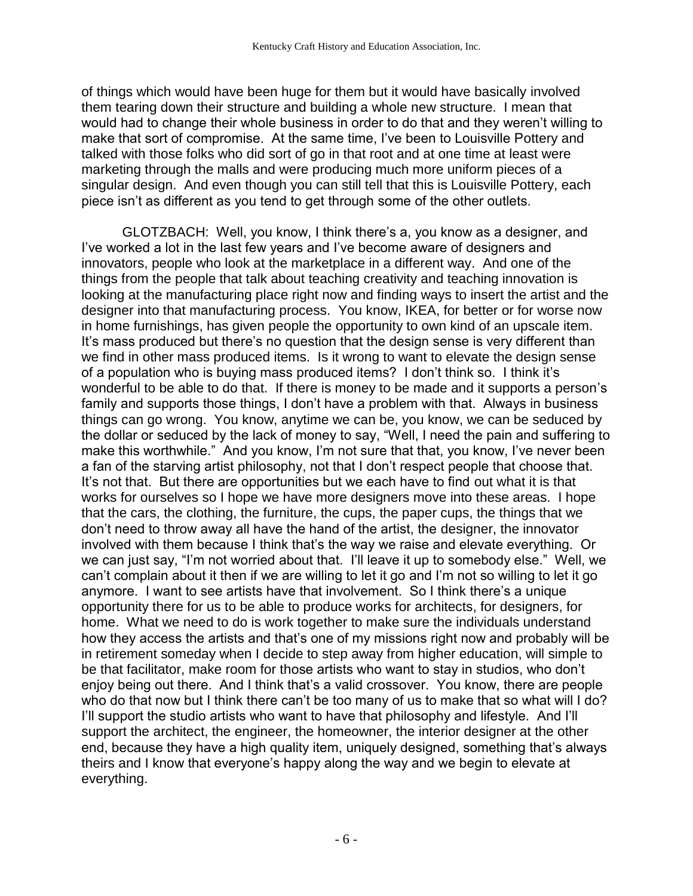of things which would have been huge for them but it would have basically involved them tearing down their structure and building a whole new structure. I mean that would had to change their whole business in order to do that and they weren't willing to make that sort of compromise. At the same time, I've been to Louisville Pottery and talked with those folks who did sort of go in that root and at one time at least were marketing through the malls and were producing much more uniform pieces of a singular design. And even though you can still tell that this is Louisville Pottery, each piece isn't as different as you tend to get through some of the other outlets.

GLOTZBACH: Well, you know, I think there's a, you know as a designer, and I've worked a lot in the last few years and I've become aware of designers and innovators, people who look at the marketplace in a different way. And one of the things from the people that talk about teaching creativity and teaching innovation is looking at the manufacturing place right now and finding ways to insert the artist and the designer into that manufacturing process. You know, IKEA, for better or for worse now in home furnishings, has given people the opportunity to own kind of an upscale item. It's mass produced but there's no question that the design sense is very different than we find in other mass produced items. Is it wrong to want to elevate the design sense of a population who is buying mass produced items? I don't think so. I think it's wonderful to be able to do that. If there is money to be made and it supports a person's family and supports those things, I don't have a problem with that. Always in business things can go wrong. You know, anytime we can be, you know, we can be seduced by the dollar or seduced by the lack of money to say, "Well, I need the pain and suffering to make this worthwhile." And you know, I'm not sure that that, you know, I've never been a fan of the starving artist philosophy, not that I don't respect people that choose that. It's not that. But there are opportunities but we each have to find out what it is that works for ourselves so I hope we have more designers move into these areas. I hope that the cars, the clothing, the furniture, the cups, the paper cups, the things that we don't need to throw away all have the hand of the artist, the designer, the innovator involved with them because I think that's the way we raise and elevate everything. Or we can just say, "I'm not worried about that. I'll leave it up to somebody else." Well, we can't complain about it then if we are willing to let it go and I'm not so willing to let it go anymore. I want to see artists have that involvement. So I think there's a unique opportunity there for us to be able to produce works for architects, for designers, for home. What we need to do is work together to make sure the individuals understand how they access the artists and that's one of my missions right now and probably will be in retirement someday when I decide to step away from higher education, will simple to be that facilitator, make room for those artists who want to stay in studios, who don't enjoy being out there. And I think that's a valid crossover. You know, there are people who do that now but I think there can't be too many of us to make that so what will I do? I'll support the studio artists who want to have that philosophy and lifestyle. And I'll support the architect, the engineer, the homeowner, the interior designer at the other end, because they have a high quality item, uniquely designed, something that's always theirs and I know that everyone's happy along the way and we begin to elevate at everything.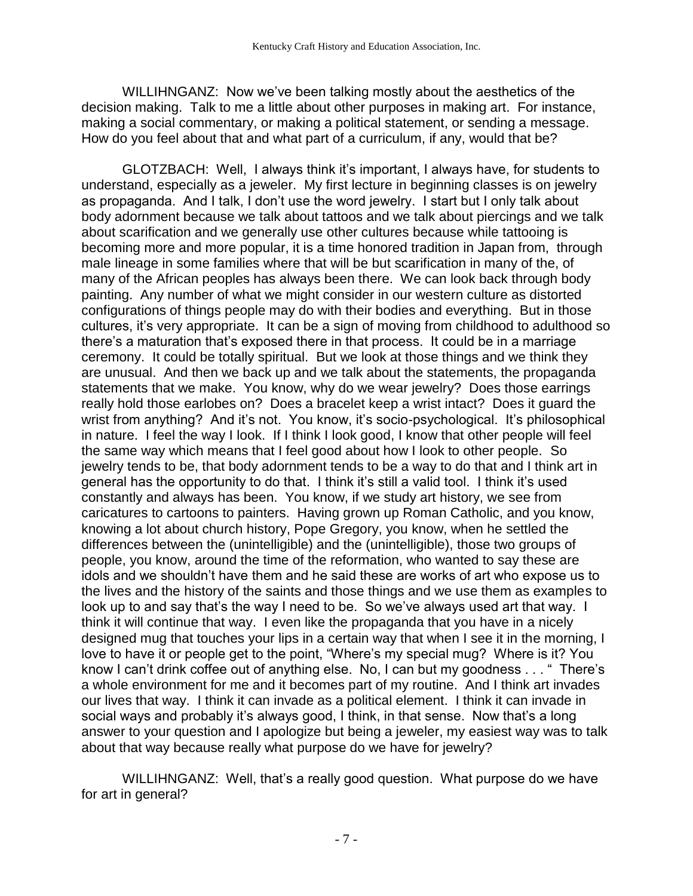WILLIHNGANZ: Now we've been talking mostly about the aesthetics of the decision making. Talk to me a little about other purposes in making art. For instance, making a social commentary, or making a political statement, or sending a message. How do you feel about that and what part of a curriculum, if any, would that be?

GLOTZBACH: Well, I always think it's important, I always have, for students to understand, especially as a jeweler. My first lecture in beginning classes is on jewelry as propaganda. And I talk, I don't use the word jewelry. I start but I only talk about body adornment because we talk about tattoos and we talk about piercings and we talk about scarification and we generally use other cultures because while tattooing is becoming more and more popular, it is a time honored tradition in Japan from, through male lineage in some families where that will be but scarification in many of the, of many of the African peoples has always been there. We can look back through body painting. Any number of what we might consider in our western culture as distorted configurations of things people may do with their bodies and everything. But in those cultures, it's very appropriate. It can be a sign of moving from childhood to adulthood so there's a maturation that's exposed there in that process. It could be in a marriage ceremony. It could be totally spiritual. But we look at those things and we think they are unusual. And then we back up and we talk about the statements, the propaganda statements that we make. You know, why do we wear jewelry? Does those earrings really hold those earlobes on? Does a bracelet keep a wrist intact? Does it guard the wrist from anything? And it's not. You know, it's socio-psychological. It's philosophical in nature. I feel the way I look. If I think I look good, I know that other people will feel the same way which means that I feel good about how I look to other people. So jewelry tends to be, that body adornment tends to be a way to do that and I think art in general has the opportunity to do that. I think it's still a valid tool. I think it's used constantly and always has been. You know, if we study art history, we see from caricatures to cartoons to painters. Having grown up Roman Catholic, and you know, knowing a lot about church history, Pope Gregory, you know, when he settled the differences between the (unintelligible) and the (unintelligible), those two groups of people, you know, around the time of the reformation, who wanted to say these are idols and we shouldn't have them and he said these are works of art who expose us to the lives and the history of the saints and those things and we use them as examples to look up to and say that's the way I need to be. So we've always used art that way. I think it will continue that way. I even like the propaganda that you have in a nicely designed mug that touches your lips in a certain way that when I see it in the morning, I love to have it or people get to the point, "Where's my special mug? Where is it? You know I can't drink coffee out of anything else. No, I can but my goodness . . . " There's a whole environment for me and it becomes part of my routine. And I think art invades our lives that way. I think it can invade as a political element. I think it can invade in social ways and probably it's always good, I think, in that sense. Now that's a long answer to your question and I apologize but being a jeweler, my easiest way was to talk about that way because really what purpose do we have for jewelry?

WILLIHNGANZ: Well, that's a really good question. What purpose do we have for art in general?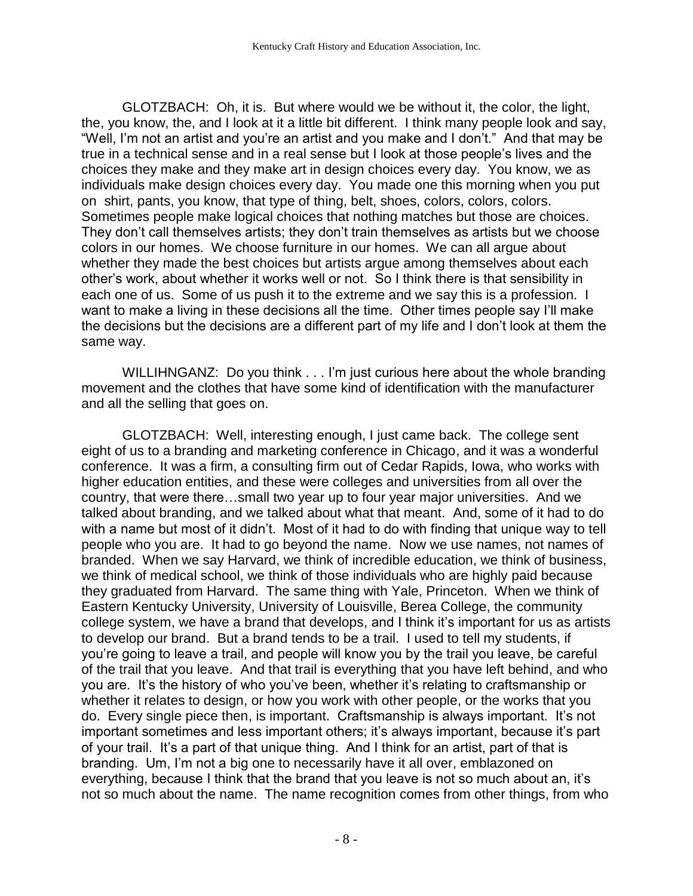GLOTZBACH: Oh, it is. But where would we be without it, the color, the light, the, you know, the, and I look at it a little bit different. I think many people look and say, "Well, I'm not an artist and you're an artist and you make and I don't." And that may be true in a technical sense and in a real sense but I look at those people's lives and the choices they make and they make art in design choices every day. You know, we as individuals make design choices every day. You made one this morning when you put on shirt, pants, you know, that type of thing, belt, shoes, colors, colors, colors. Sometimes people make logical choices that nothing matches but those are choices. They don't call themselves artists; they don't train themselves as artists but we choose colors in our homes. We choose furniture in our homes. We can all argue about whether they made the best choices but artists argue among themselves about each other's work, about whether it works well or not. So I think there is that sensibility in each one of us. Some of us push it to the extreme and we say this is a profession. I want to make a living in these decisions all the time. Other times people say I'll make the decisions but the decisions are a different part of my life and I don't look at them the same way.

WILLIHNGANZ: Do you think . . . I'm just curious here about the whole branding movement and the clothes that have some kind of identification with the manufacturer and all the selling that goes on.

GLOTZBACH: Well, interesting enough, I just came back. The college sent eight of us to a branding and marketing conference in Chicago, and it was a wonderful conference. It was a firm, a consulting firm out of Cedar Rapids, Iowa, who works with higher education entities, and these were colleges and universities from all over the country, that were there…small two year up to four year major universities. And we talked about branding, and we talked about what that meant. And, some of it had to do with a name but most of it didn't. Most of it had to do with finding that unique way to tell people who you are. It had to go beyond the name. Now we use names, not names of branded. When we say Harvard, we think of incredible education, we think of business, we think of medical school, we think of those individuals who are highly paid because they graduated from Harvard. The same thing with Yale, Princeton. When we think of Eastern Kentucky University, University of Louisville, Berea College, the community college system, we have a brand that develops, and I think it's important for us as artists to develop our brand. But a brand tends to be a trail. I used to tell my students, if you're going to leave a trail, and people will know you by the trail you leave, be careful of the trail that you leave. And that trail is everything that you have left behind, and who you are. It's the history of who you've been, whether it's relating to craftsmanship or whether it relates to design, or how you work with other people, or the works that you do. Every single piece then, is important. Craftsmanship is always important. It's not important sometimes and less important others; it's always important, because it's part of your trail. It's a part of that unique thing. And I think for an artist, part of that is branding. Um, I'm not a big one to necessarily have it all over, emblazoned on everything, because I think that the brand that you leave is not so much about an, it's not so much about the name. The name recognition comes from other things, from who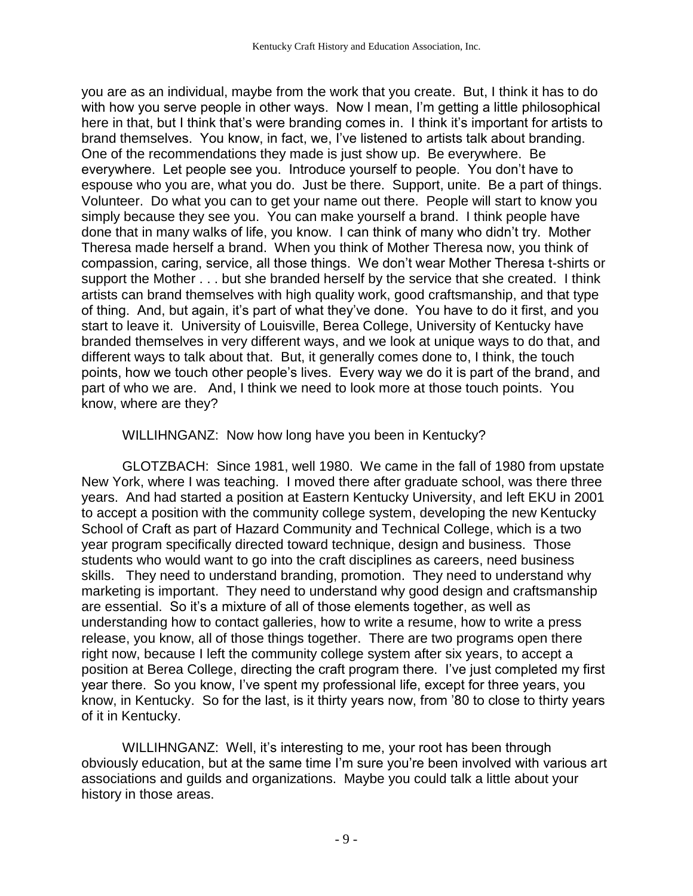you are as an individual, maybe from the work that you create. But, I think it has to do with how you serve people in other ways. Now I mean, I'm getting a little philosophical here in that, but I think that's were branding comes in. I think it's important for artists to brand themselves. You know, in fact, we, I've listened to artists talk about branding. One of the recommendations they made is just show up. Be everywhere. Be everywhere. Let people see you. Introduce yourself to people. You don't have to espouse who you are, what you do. Just be there. Support, unite. Be a part of things. Volunteer. Do what you can to get your name out there. People will start to know you simply because they see you. You can make yourself a brand. I think people have done that in many walks of life, you know. I can think of many who didn't try. Mother Theresa made herself a brand. When you think of Mother Theresa now, you think of compassion, caring, service, all those things. We don't wear Mother Theresa t-shirts or support the Mother . . . but she branded herself by the service that she created. I think artists can brand themselves with high quality work, good craftsmanship, and that type of thing. And, but again, it's part of what they've done. You have to do it first, and you start to leave it. University of Louisville, Berea College, University of Kentucky have branded themselves in very different ways, and we look at unique ways to do that, and different ways to talk about that. But, it generally comes done to, I think, the touch points, how we touch other people's lives. Every way we do it is part of the brand, and part of who we are. And, I think we need to look more at those touch points. You know, where are they?

WILLIHNGANZ: Now how long have you been in Kentucky?

GLOTZBACH: Since 1981, well 1980. We came in the fall of 1980 from upstate New York, where I was teaching. I moved there after graduate school, was there three years. And had started a position at Eastern Kentucky University, and left EKU in 2001 to accept a position with the community college system, developing the new Kentucky School of Craft as part of Hazard Community and Technical College, which is a two year program specifically directed toward technique, design and business. Those students who would want to go into the craft disciplines as careers, need business skills. They need to understand branding, promotion. They need to understand why marketing is important. They need to understand why good design and craftsmanship are essential. So it's a mixture of all of those elements together, as well as understanding how to contact galleries, how to write a resume, how to write a press release, you know, all of those things together. There are two programs open there right now, because I left the community college system after six years, to accept a position at Berea College, directing the craft program there. I've just completed my first year there. So you know, I've spent my professional life, except for three years, you know, in Kentucky. So for the last, is it thirty years now, from '80 to close to thirty years of it in Kentucky.

WILLIHNGANZ: Well, it's interesting to me, your root has been through obviously education, but at the same time I'm sure you're been involved with various art associations and guilds and organizations. Maybe you could talk a little about your history in those areas.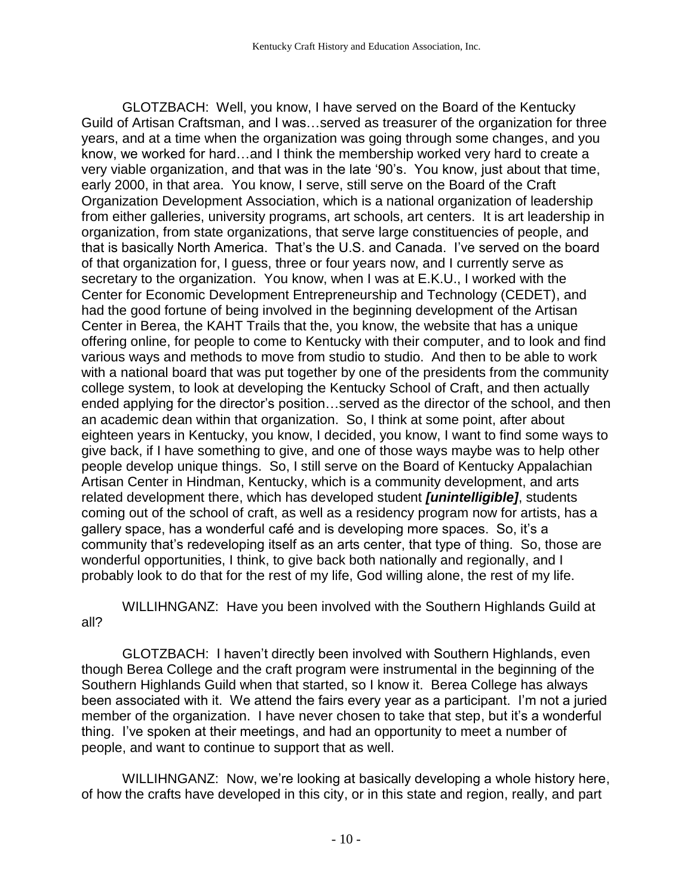GLOTZBACH: Well, you know, I have served on the Board of the Kentucky Guild of Artisan Craftsman, and I was…served as treasurer of the organization for three years, and at a time when the organization was going through some changes, and you know, we worked for hard…and I think the membership worked very hard to create a very viable organization, and that was in the late '90's. You know, just about that time, early 2000, in that area. You know, I serve, still serve on the Board of the Craft Organization Development Association, which is a national organization of leadership from either galleries, university programs, art schools, art centers. It is art leadership in organization, from state organizations, that serve large constituencies of people, and that is basically North America. That's the U.S. and Canada. I've served on the board of that organization for, I guess, three or four years now, and I currently serve as secretary to the organization. You know, when I was at E.K.U., I worked with the Center for Economic Development Entrepreneurship and Technology (CEDET), and had the good fortune of being involved in the beginning development of the Artisan Center in Berea, the KAHT Trails that the, you know, the website that has a unique offering online, for people to come to Kentucky with their computer, and to look and find various ways and methods to move from studio to studio. And then to be able to work with a national board that was put together by one of the presidents from the community college system, to look at developing the Kentucky School of Craft, and then actually ended applying for the director's position…served as the director of the school, and then an academic dean within that organization. So, I think at some point, after about eighteen years in Kentucky, you know, I decided, you know, I want to find some ways to give back, if I have something to give, and one of those ways maybe was to help other people develop unique things. So, I still serve on the Board of Kentucky Appalachian Artisan Center in Hindman, Kentucky, which is a community development, and arts related development there, which has developed student *[unintelligible]*, students coming out of the school of craft, as well as a residency program now for artists, has a gallery space, has a wonderful café and is developing more spaces. So, it's a community that's redeveloping itself as an arts center, that type of thing. So, those are wonderful opportunities, I think, to give back both nationally and regionally, and I probably look to do that for the rest of my life, God willing alone, the rest of my life.

WILLIHNGANZ: Have you been involved with the Southern Highlands Guild at all?

GLOTZBACH: I haven't directly been involved with Southern Highlands, even though Berea College and the craft program were instrumental in the beginning of the Southern Highlands Guild when that started, so I know it. Berea College has always been associated with it. We attend the fairs every year as a participant. I'm not a juried member of the organization. I have never chosen to take that step, but it's a wonderful thing. I've spoken at their meetings, and had an opportunity to meet a number of people, and want to continue to support that as well.

WILLIHNGANZ: Now, we're looking at basically developing a whole history here, of how the crafts have developed in this city, or in this state and region, really, and part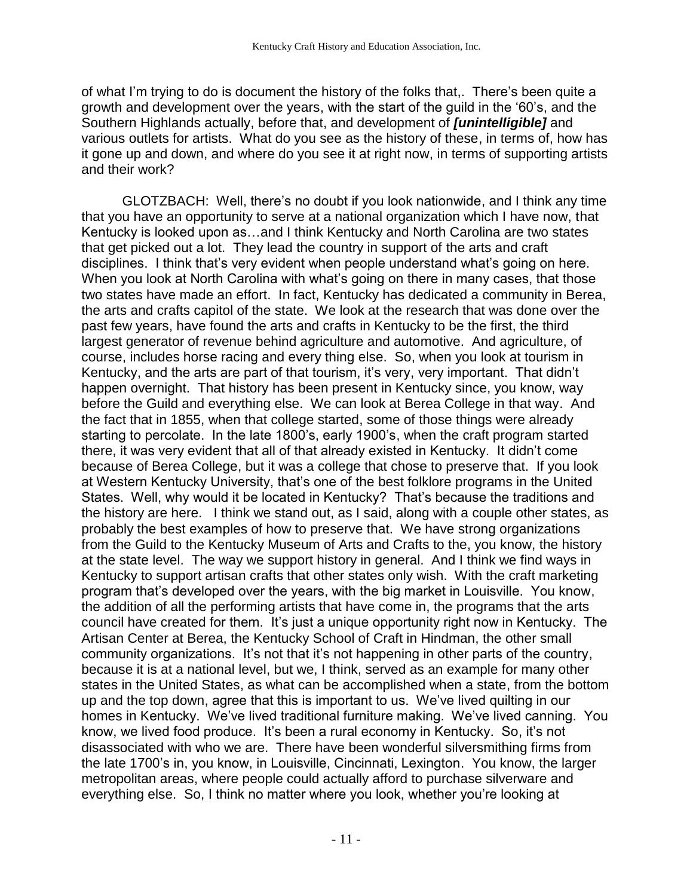of what I'm trying to do is document the history of the folks that,. There's been quite a growth and development over the years, with the start of the guild in the '60's, and the Southern Highlands actually, before that, and development of *[unintelligible]* and various outlets for artists. What do you see as the history of these, in terms of, how has it gone up and down, and where do you see it at right now, in terms of supporting artists and their work?

GLOTZBACH: Well, there's no doubt if you look nationwide, and I think any time that you have an opportunity to serve at a national organization which I have now, that Kentucky is looked upon as…and I think Kentucky and North Carolina are two states that get picked out a lot. They lead the country in support of the arts and craft disciplines. I think that's very evident when people understand what's going on here. When you look at North Carolina with what's going on there in many cases, that those two states have made an effort. In fact, Kentucky has dedicated a community in Berea, the arts and crafts capitol of the state. We look at the research that was done over the past few years, have found the arts and crafts in Kentucky to be the first, the third largest generator of revenue behind agriculture and automotive. And agriculture, of course, includes horse racing and every thing else. So, when you look at tourism in Kentucky, and the arts are part of that tourism, it's very, very important. That didn't happen overnight. That history has been present in Kentucky since, you know, way before the Guild and everything else. We can look at Berea College in that way. And the fact that in 1855, when that college started, some of those things were already starting to percolate. In the late 1800's, early 1900's, when the craft program started there, it was very evident that all of that already existed in Kentucky. It didn't come because of Berea College, but it was a college that chose to preserve that. If you look at Western Kentucky University, that's one of the best folklore programs in the United States. Well, why would it be located in Kentucky? That's because the traditions and the history are here. I think we stand out, as I said, along with a couple other states, as probably the best examples of how to preserve that. We have strong organizations from the Guild to the Kentucky Museum of Arts and Crafts to the, you know, the history at the state level. The way we support history in general. And I think we find ways in Kentucky to support artisan crafts that other states only wish. With the craft marketing program that's developed over the years, with the big market in Louisville. You know, the addition of all the performing artists that have come in, the programs that the arts council have created for them. It's just a unique opportunity right now in Kentucky. The Artisan Center at Berea, the Kentucky School of Craft in Hindman, the other small community organizations. It's not that it's not happening in other parts of the country, because it is at a national level, but we, I think, served as an example for many other states in the United States, as what can be accomplished when a state, from the bottom up and the top down, agree that this is important to us. We've lived quilting in our homes in Kentucky. We've lived traditional furniture making. We've lived canning. You know, we lived food produce. It's been a rural economy in Kentucky. So, it's not disassociated with who we are. There have been wonderful silversmithing firms from the late 1700's in, you know, in Louisville, Cincinnati, Lexington. You know, the larger metropolitan areas, where people could actually afford to purchase silverware and everything else. So, I think no matter where you look, whether you're looking at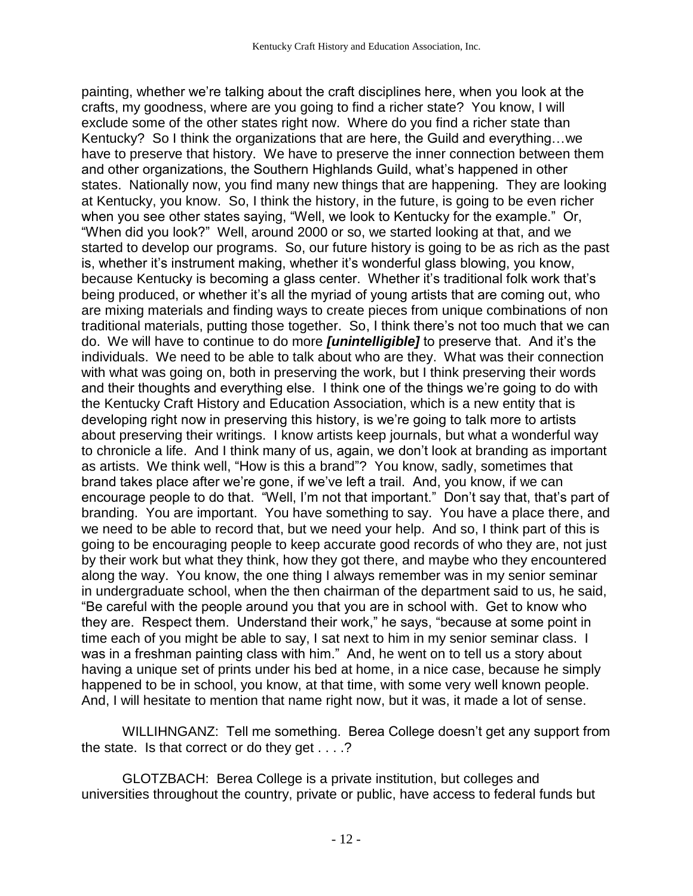painting, whether we're talking about the craft disciplines here, when you look at the crafts, my goodness, where are you going to find a richer state? You know, I will exclude some of the other states right now. Where do you find a richer state than Kentucky? So I think the organizations that are here, the Guild and everything...we have to preserve that history. We have to preserve the inner connection between them and other organizations, the Southern Highlands Guild, what's happened in other states. Nationally now, you find many new things that are happening. They are looking at Kentucky, you know. So, I think the history, in the future, is going to be even richer when you see other states saying, "Well, we look to Kentucky for the example." Or, "When did you look?" Well, around 2000 or so, we started looking at that, and we started to develop our programs. So, our future history is going to be as rich as the past is, whether it's instrument making, whether it's wonderful glass blowing, you know, because Kentucky is becoming a glass center. Whether it's traditional folk work that's being produced, or whether it's all the myriad of young artists that are coming out, who are mixing materials and finding ways to create pieces from unique combinations of non traditional materials, putting those together. So, I think there's not too much that we can do. We will have to continue to do more *[unintelligible]* to preserve that. And it's the individuals. We need to be able to talk about who are they. What was their connection with what was going on, both in preserving the work, but I think preserving their words and their thoughts and everything else. I think one of the things we're going to do with the Kentucky Craft History and Education Association, which is a new entity that is developing right now in preserving this history, is we're going to talk more to artists about preserving their writings. I know artists keep journals, but what a wonderful way to chronicle a life. And I think many of us, again, we don't look at branding as important as artists. We think well, "How is this a brand"? You know, sadly, sometimes that brand takes place after we're gone, if we've left a trail. And, you know, if we can encourage people to do that. "Well, I'm not that important." Don't say that, that's part of branding. You are important. You have something to say. You have a place there, and we need to be able to record that, but we need your help. And so, I think part of this is going to be encouraging people to keep accurate good records of who they are, not just by their work but what they think, how they got there, and maybe who they encountered along the way. You know, the one thing I always remember was in my senior seminar in undergraduate school, when the then chairman of the department said to us, he said, "Be careful with the people around you that you are in school with. Get to know who they are. Respect them. Understand their work," he says, "because at some point in time each of you might be able to say, I sat next to him in my senior seminar class. I was in a freshman painting class with him." And, he went on to tell us a story about having a unique set of prints under his bed at home, in a nice case, because he simply happened to be in school, you know, at that time, with some very well known people. And, I will hesitate to mention that name right now, but it was, it made a lot of sense.

WILLIHNGANZ: Tell me something. Berea College doesn't get any support from the state. Is that correct or do they get . . . .?

GLOTZBACH: Berea College is a private institution, but colleges and universities throughout the country, private or public, have access to federal funds but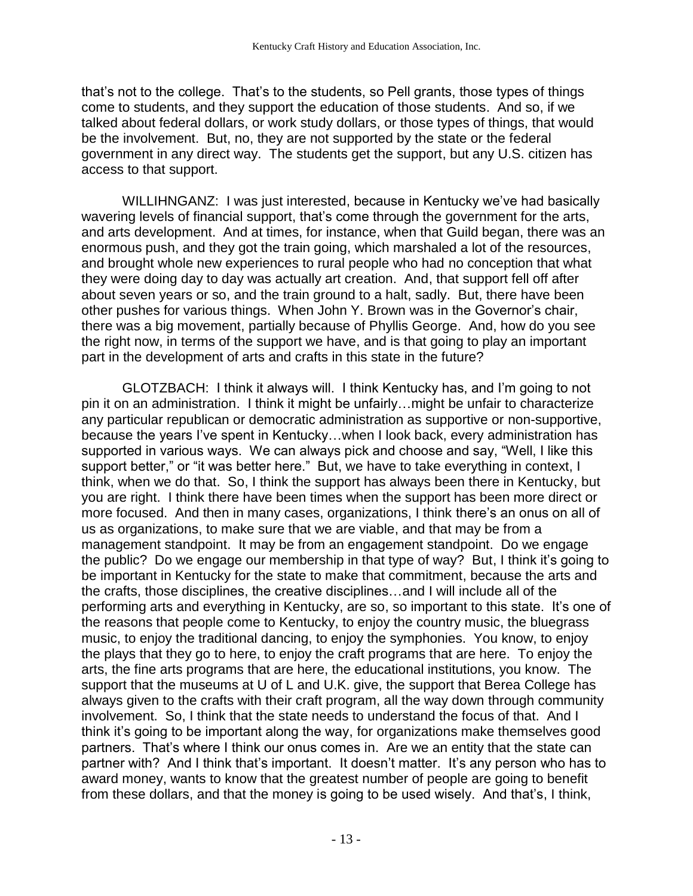that's not to the college. That's to the students, so Pell grants, those types of things come to students, and they support the education of those students. And so, if we talked about federal dollars, or work study dollars, or those types of things, that would be the involvement. But, no, they are not supported by the state or the federal government in any direct way. The students get the support, but any U.S. citizen has access to that support.

WILLIHNGANZ: I was just interested, because in Kentucky we've had basically wavering levels of financial support, that's come through the government for the arts, and arts development. And at times, for instance, when that Guild began, there was an enormous push, and they got the train going, which marshaled a lot of the resources, and brought whole new experiences to rural people who had no conception that what they were doing day to day was actually art creation. And, that support fell off after about seven years or so, and the train ground to a halt, sadly. But, there have been other pushes for various things. When John Y. Brown was in the Governor's chair, there was a big movement, partially because of Phyllis George. And, how do you see the right now, in terms of the support we have, and is that going to play an important part in the development of arts and crafts in this state in the future?

GLOTZBACH: I think it always will. I think Kentucky has, and I'm going to not pin it on an administration. I think it might be unfairly…might be unfair to characterize any particular republican or democratic administration as supportive or non-supportive, because the years I've spent in Kentucky…when I look back, every administration has supported in various ways. We can always pick and choose and say, "Well, I like this support better," or "it was better here." But, we have to take everything in context, I think, when we do that. So, I think the support has always been there in Kentucky, but you are right. I think there have been times when the support has been more direct or more focused. And then in many cases, organizations, I think there's an onus on all of us as organizations, to make sure that we are viable, and that may be from a management standpoint. It may be from an engagement standpoint. Do we engage the public? Do we engage our membership in that type of way? But, I think it's going to be important in Kentucky for the state to make that commitment, because the arts and the crafts, those disciplines, the creative disciplines…and I will include all of the performing arts and everything in Kentucky, are so, so important to this state. It's one of the reasons that people come to Kentucky, to enjoy the country music, the bluegrass music, to enjoy the traditional dancing, to enjoy the symphonies. You know, to enjoy the plays that they go to here, to enjoy the craft programs that are here. To enjoy the arts, the fine arts programs that are here, the educational institutions, you know. The support that the museums at U of L and U.K. give, the support that Berea College has always given to the crafts with their craft program, all the way down through community involvement. So, I think that the state needs to understand the focus of that. And I think it's going to be important along the way, for organizations make themselves good partners. That's where I think our onus comes in. Are we an entity that the state can partner with? And I think that's important. It doesn't matter. It's any person who has to award money, wants to know that the greatest number of people are going to benefit from these dollars, and that the money is going to be used wisely. And that's, I think,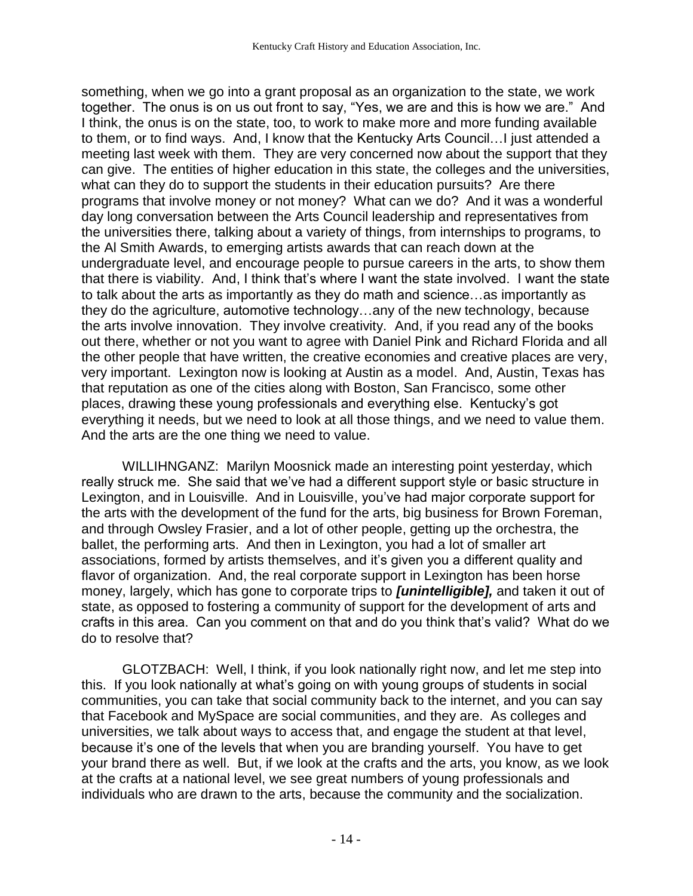something, when we go into a grant proposal as an organization to the state, we work together. The onus is on us out front to say, "Yes, we are and this is how we are." And I think, the onus is on the state, too, to work to make more and more funding available to them, or to find ways. And, I know that the Kentucky Arts Council…I just attended a meeting last week with them. They are very concerned now about the support that they can give. The entities of higher education in this state, the colleges and the universities, what can they do to support the students in their education pursuits? Are there programs that involve money or not money? What can we do? And it was a wonderful day long conversation between the Arts Council leadership and representatives from the universities there, talking about a variety of things, from internships to programs, to the Al Smith Awards, to emerging artists awards that can reach down at the undergraduate level, and encourage people to pursue careers in the arts, to show them that there is viability. And, I think that's where I want the state involved. I want the state to talk about the arts as importantly as they do math and science…as importantly as they do the agriculture, automotive technology…any of the new technology, because the arts involve innovation. They involve creativity. And, if you read any of the books out there, whether or not you want to agree with Daniel Pink and Richard Florida and all the other people that have written, the creative economies and creative places are very, very important. Lexington now is looking at Austin as a model. And, Austin, Texas has that reputation as one of the cities along with Boston, San Francisco, some other places, drawing these young professionals and everything else. Kentucky's got everything it needs, but we need to look at all those things, and we need to value them. And the arts are the one thing we need to value.

WILLIHNGANZ: Marilyn Moosnick made an interesting point yesterday, which really struck me. She said that we've had a different support style or basic structure in Lexington, and in Louisville. And in Louisville, you've had major corporate support for the arts with the development of the fund for the arts, big business for Brown Foreman, and through Owsley Frasier, and a lot of other people, getting up the orchestra, the ballet, the performing arts. And then in Lexington, you had a lot of smaller art associations, formed by artists themselves, and it's given you a different quality and flavor of organization. And, the real corporate support in Lexington has been horse money, largely, which has gone to corporate trips to *[unintelligible],* and taken it out of state, as opposed to fostering a community of support for the development of arts and crafts in this area. Can you comment on that and do you think that's valid? What do we do to resolve that?

GLOTZBACH: Well, I think, if you look nationally right now, and let me step into this. If you look nationally at what's going on with young groups of students in social communities, you can take that social community back to the internet, and you can say that Facebook and MySpace are social communities, and they are. As colleges and universities, we talk about ways to access that, and engage the student at that level, because it's one of the levels that when you are branding yourself. You have to get your brand there as well. But, if we look at the crafts and the arts, you know, as we look at the crafts at a national level, we see great numbers of young professionals and individuals who are drawn to the arts, because the community and the socialization.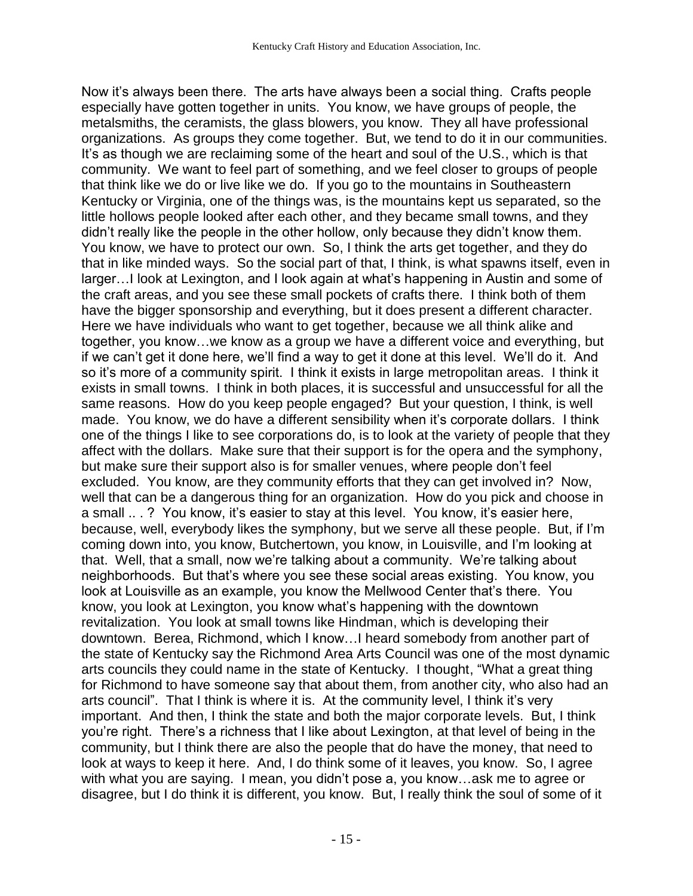Now it's always been there. The arts have always been a social thing. Crafts people especially have gotten together in units. You know, we have groups of people, the metalsmiths, the ceramists, the glass blowers, you know. They all have professional organizations. As groups they come together. But, we tend to do it in our communities. It's as though we are reclaiming some of the heart and soul of the U.S., which is that community. We want to feel part of something, and we feel closer to groups of people that think like we do or live like we do. If you go to the mountains in Southeastern Kentucky or Virginia, one of the things was, is the mountains kept us separated, so the little hollows people looked after each other, and they became small towns, and they didn't really like the people in the other hollow, only because they didn't know them. You know, we have to protect our own. So, I think the arts get together, and they do that in like minded ways. So the social part of that, I think, is what spawns itself, even in larger…I look at Lexington, and I look again at what's happening in Austin and some of the craft areas, and you see these small pockets of crafts there. I think both of them have the bigger sponsorship and everything, but it does present a different character. Here we have individuals who want to get together, because we all think alike and together, you know…we know as a group we have a different voice and everything, but if we can't get it done here, we'll find a way to get it done at this level. We'll do it. And so it's more of a community spirit. I think it exists in large metropolitan areas. I think it exists in small towns. I think in both places, it is successful and unsuccessful for all the same reasons. How do you keep people engaged? But your question, I think, is well made. You know, we do have a different sensibility when it's corporate dollars. I think one of the things I like to see corporations do, is to look at the variety of people that they affect with the dollars. Make sure that their support is for the opera and the symphony, but make sure their support also is for smaller venues, where people don't feel excluded. You know, are they community efforts that they can get involved in? Now, well that can be a dangerous thing for an organization. How do you pick and choose in a small .. . ? You know, it's easier to stay at this level. You know, it's easier here, because, well, everybody likes the symphony, but we serve all these people. But, if I'm coming down into, you know, Butchertown, you know, in Louisville, and I'm looking at that. Well, that a small, now we're talking about a community. We're talking about neighborhoods. But that's where you see these social areas existing. You know, you look at Louisville as an example, you know the Mellwood Center that's there. You know, you look at Lexington, you know what's happening with the downtown revitalization. You look at small towns like Hindman, which is developing their downtown. Berea, Richmond, which I know…I heard somebody from another part of the state of Kentucky say the Richmond Area Arts Council was one of the most dynamic arts councils they could name in the state of Kentucky. I thought, "What a great thing for Richmond to have someone say that about them, from another city, who also had an arts council". That I think is where it is. At the community level, I think it's very important. And then, I think the state and both the major corporate levels. But, I think you're right. There's a richness that I like about Lexington, at that level of being in the community, but I think there are also the people that do have the money, that need to look at ways to keep it here. And, I do think some of it leaves, you know. So, I agree with what you are saying. I mean, you didn't pose a, you know…ask me to agree or disagree, but I do think it is different, you know. But, I really think the soul of some of it